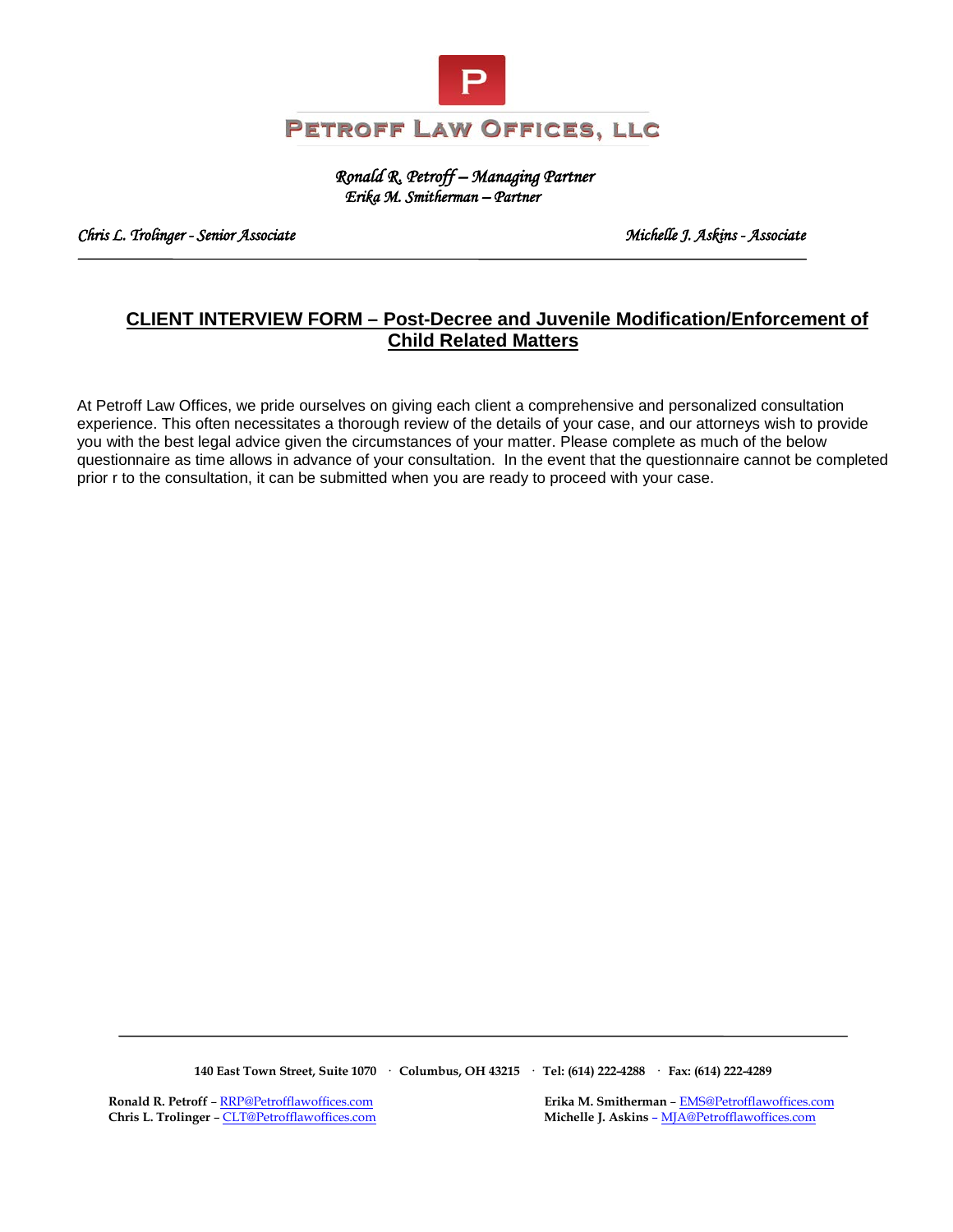

 *Ronald R. Petroff – Managing Partner Erika M. Smitherman – Partner* 

*Chris L. Trolinger - Senior Associate Michelle J. Askins - Associate* 

# **CLIENT INTERVIEW FORM – Post-Decree and Juvenile Modification/Enforcement of Child Related Matters**

At Petroff Law Offices, we pride ourselves on giving each client a comprehensive and personalized consultation experience. This often necessitates a thorough review of the details of your case, and our attorneys wish to provide you with the best legal advice given the circumstances of your matter. Please complete as much of the below questionnaire as time allows in advance of your consultation. In the event that the questionnaire cannot be completed prior r to the consultation, it can be submitted when you are ready to proceed with your case.

**140 East Town Street, Suite 1070 · Columbus, OH 43215 · Tel: (614) 222-4288 · Fax: (614) 222-4289**

 **Ronald R. Petroff** [– RRP@Petrofflawoffices.com](mailto:RRP@Petrofflawoffices.com) **Erika M. Smitherman** [– EMS@Petrofflawoffices.com](mailto:%E2%80%93%20EMS@Petrofflawoffices.com)  **Chris L. Trolinger** [– CLT@Petrofflawoffices.com](mailto:CLT@Petrofflawoffices.com) **Michelle J. Askins** [– MJA@Petrofflawoffices.com](mailto:%E2%80%93%20MJA@Petrofflawoffices.com)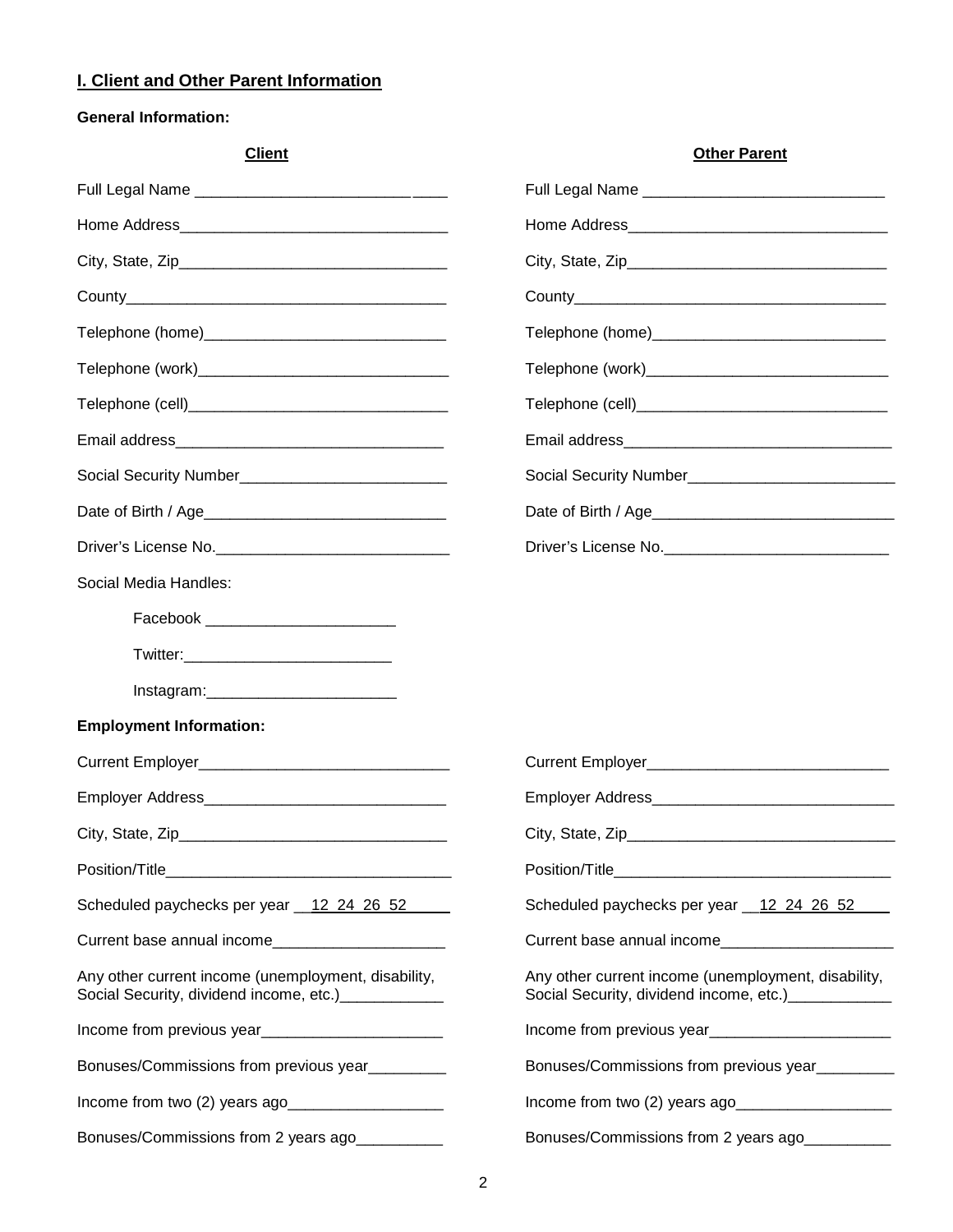### **I. Client and Other Parent Information**

## **General Information:**

| <b>Client</b>                                                                                               | <b>Other Parent</b>                                                                                         |
|-------------------------------------------------------------------------------------------------------------|-------------------------------------------------------------------------------------------------------------|
|                                                                                                             |                                                                                                             |
|                                                                                                             |                                                                                                             |
|                                                                                                             |                                                                                                             |
|                                                                                                             |                                                                                                             |
|                                                                                                             |                                                                                                             |
|                                                                                                             |                                                                                                             |
|                                                                                                             |                                                                                                             |
|                                                                                                             |                                                                                                             |
|                                                                                                             |                                                                                                             |
|                                                                                                             |                                                                                                             |
|                                                                                                             | Driver's License No.                                                                                        |
| Social Media Handles:                                                                                       |                                                                                                             |
| Facebook ____________________________                                                                       |                                                                                                             |
|                                                                                                             |                                                                                                             |
|                                                                                                             |                                                                                                             |
| <b>Employment Information:</b>                                                                              |                                                                                                             |
|                                                                                                             |                                                                                                             |
|                                                                                                             |                                                                                                             |
|                                                                                                             |                                                                                                             |
|                                                                                                             |                                                                                                             |
| Scheduled paychecks per year 12 24 26 52                                                                    | Scheduled paychecks per year 12 24 26 52                                                                    |
| Current base annual income                                                                                  | Current base annual income_________________________                                                         |
| Any other current income (unemployment, disability,<br>Social Security, dividend income, etc.) ____________ | Any other current income (unemployment, disability,<br>Social Security, dividend income, etc.)_____________ |
|                                                                                                             |                                                                                                             |
| Bonuses/Commissions from previous year_________                                                             | Bonuses/Commissions from previous year                                                                      |
| Income from two (2) years ago                                                                               | Income from two (2) years ago                                                                               |
| Bonuses/Commissions from 2 years ago                                                                        | Bonuses/Commissions from 2 years ago                                                                        |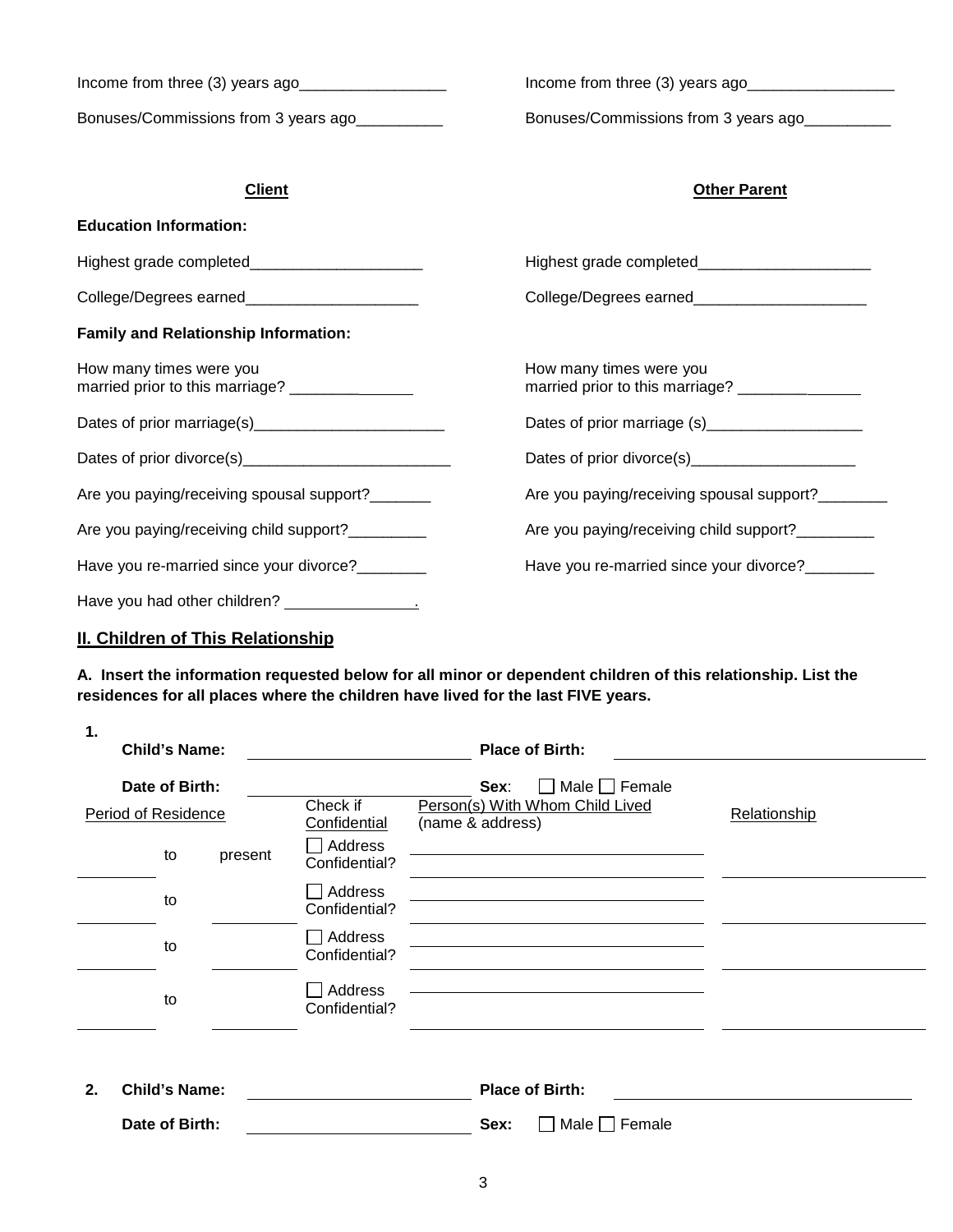| Income from three $(3)$ years ago<br>Bonuses/Commissions from 3 years ago  | Income from three $(3)$ years ago<br>Bonuses/Commissions from 3 years ago |  |  |
|----------------------------------------------------------------------------|---------------------------------------------------------------------------|--|--|
| <b>Client</b>                                                              | <b>Other Parent</b>                                                       |  |  |
| <b>Education Information:</b>                                              |                                                                           |  |  |
| Highest grade completed_________________________                           | Highest grade completed________________________                           |  |  |
| College/Degrees earned_______________________                              | College/Degrees earned_________________________                           |  |  |
| <b>Family and Relationship Information:</b>                                |                                                                           |  |  |
| How many times were you<br>married prior to this marriage? _______________ | How many times were you                                                   |  |  |
| Dates of prior marriage(s)__________________________                       | Dates of prior marriage (s)______________________                         |  |  |
|                                                                            | Dates of prior divorce(s)_______________________                          |  |  |
| Are you paying/receiving spousal support?_______                           | Are you paying/receiving spousal support?_______                          |  |  |
| Are you paying/receiving child support?_________                           | Are you paying/receiving child support?_________                          |  |  |
| Have you re-married since your divorce?                                    | Have you re-married since your divorce?_______                            |  |  |
|                                                                            |                                                                           |  |  |

# **II. Children of This Relationship**

**A. Insert the information requested below for all minor or dependent children of this relationship. List the residences for all places where the children have lived for the last FIVE years.** 

| 1.                                    | <b>Child's Name:</b> |                          |                                                                                   | <b>Place of Birth:</b> |  |
|---------------------------------------|----------------------|--------------------------|-----------------------------------------------------------------------------------|------------------------|--|
| Date of Birth:<br>Period of Residence |                      | Check if<br>Confidential | Male $\Box$ Female<br>Sex:<br>Person(s) With Whom Child Lived<br>(name & address) | Relationship           |  |
|                                       | to                   | present                  | Address<br>Confidential?                                                          |                        |  |
|                                       | to                   |                          | Address<br>Confidential?                                                          |                        |  |
|                                       | to                   |                          | Address<br>Confidential?                                                          |                        |  |
|                                       | to                   |                          | Address<br>Confidential?                                                          |                        |  |
|                                       |                      |                          |                                                                                   |                        |  |

| 2. | Child's Name:  | <b>Place of Birth:</b>                    |  |
|----|----------------|-------------------------------------------|--|
|    | Date of Birth: | $\sqrt[1]{\ }$ Male $\Box$ Female<br>Sex: |  |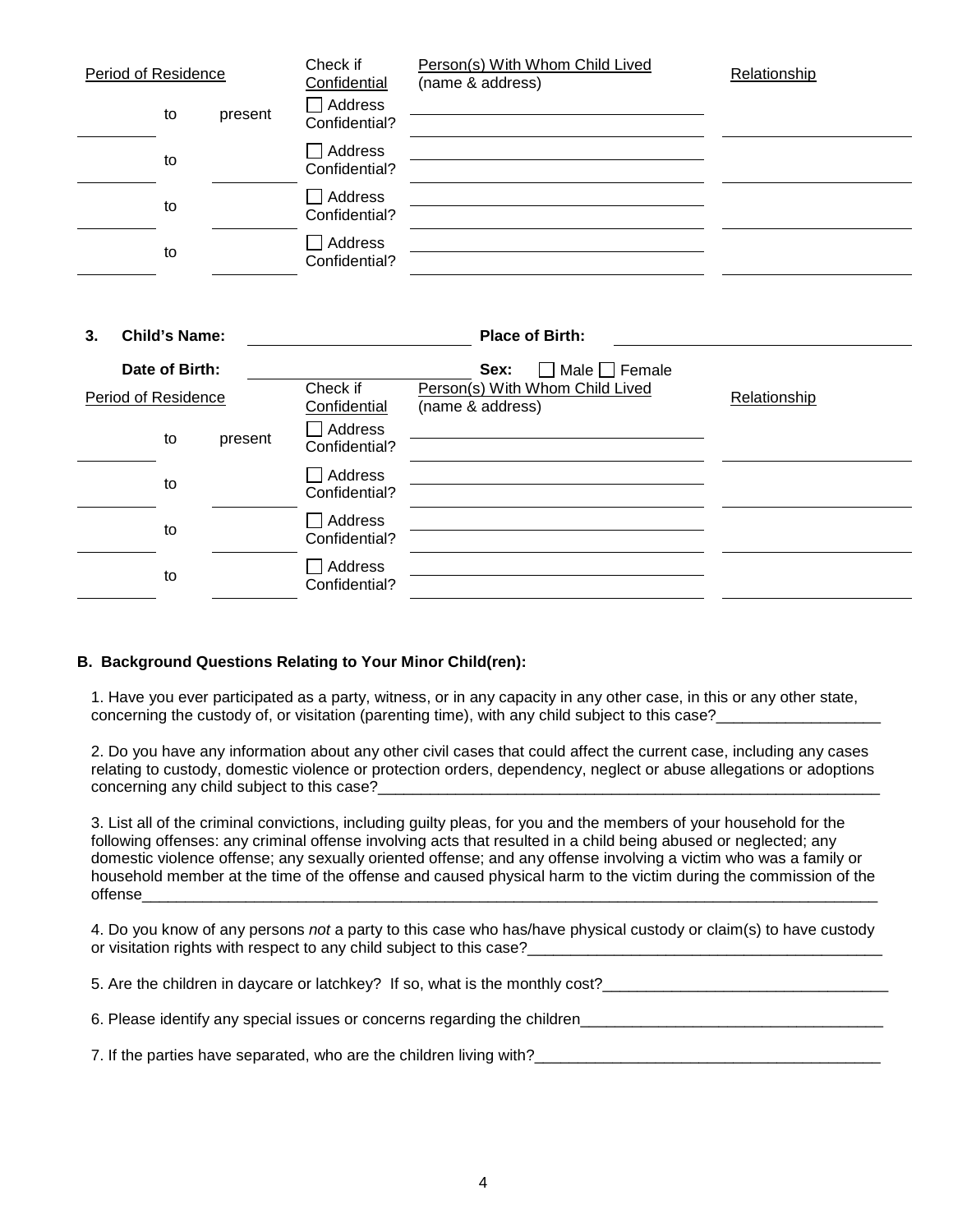| Period of Residence        | Check if<br>Confidential | Person(s) With Whom Child Lived<br>(name & address) | Relationship |
|----------------------------|--------------------------|-----------------------------------------------------|--------------|
| to<br>present              | Address<br>Confidential? |                                                     |              |
| to                         | Address<br>Confidential? |                                                     |              |
| to                         | Address<br>Confidential? |                                                     |              |
| to                         | Address<br>Confidential? |                                                     |              |
|                            |                          |                                                     |              |
| <b>Child's Name:</b><br>3. |                          | <b>Place of Birth:</b>                              |              |
| Date of Birth:             |                          | Male $\Box$ Female<br>Sex:                          |              |
| Period of Residence        | Check if<br>Confidential | Person(s) With Whom Child Lived<br>(name & address) | Relationship |
| to<br>present              | Address<br>~ … …         |                                                     |              |

| to | - - - - -<br>Confidential? |  |
|----|----------------------------|--|
| to | □ Address<br>Confidential? |  |
|    |                            |  |

### **B. Background Questions Relating to Your Minor Child(ren):**

to Address

Confidential?

Confidential?  $\Box$  Address

1. Have you ever participated as a party, witness, or in any capacity in any other case, in this or any other state, concerning the custody of, or visitation (parenting time), with any child subject to this case?

2. Do you have any information about any other civil cases that could affect the current case, including any cases relating to custody, domestic violence or protection orders, dependency, neglect or abuse allegations or adoptions concerning any child subject to this case?

3. List all of the criminal convictions, including guilty pleas, for you and the members of your household for the following offenses: any criminal offense involving acts that resulted in a child being abused or neglected; any domestic violence offense; any sexually oriented offense; and any offense involving a victim who was a family or household member at the time of the offense and caused physical harm to the victim during the commission of the offense\_\_\_\_\_\_\_\_\_\_\_\_\_\_\_\_\_\_\_\_\_\_\_\_\_\_\_\_\_\_\_\_\_\_\_\_\_\_\_\_\_\_\_\_\_\_\_\_\_\_\_\_\_\_\_\_\_\_\_\_\_\_\_\_\_\_\_\_\_\_\_\_\_\_\_\_\_\_\_\_\_\_\_\_\_

4. Do you know of any persons *not* a party to this case who has/have physical custody or claim(s) to have custody or visitation rights with respect to any child subject to this case?

5. Are the children in daycare or latchkey? If so, what is the monthly cost?\_\_\_\_\_\_\_\_\_\_\_\_\_\_\_\_\_\_\_\_\_\_\_\_\_\_\_\_\_\_\_\_\_\_

6. Please identify any special issues or concerns regarding the children\_\_\_\_\_\_\_\_\_\_\_\_\_\_\_\_\_\_\_\_\_\_\_\_\_\_\_\_\_\_\_\_\_\_\_

7. If the parties have separated, who are the children living with?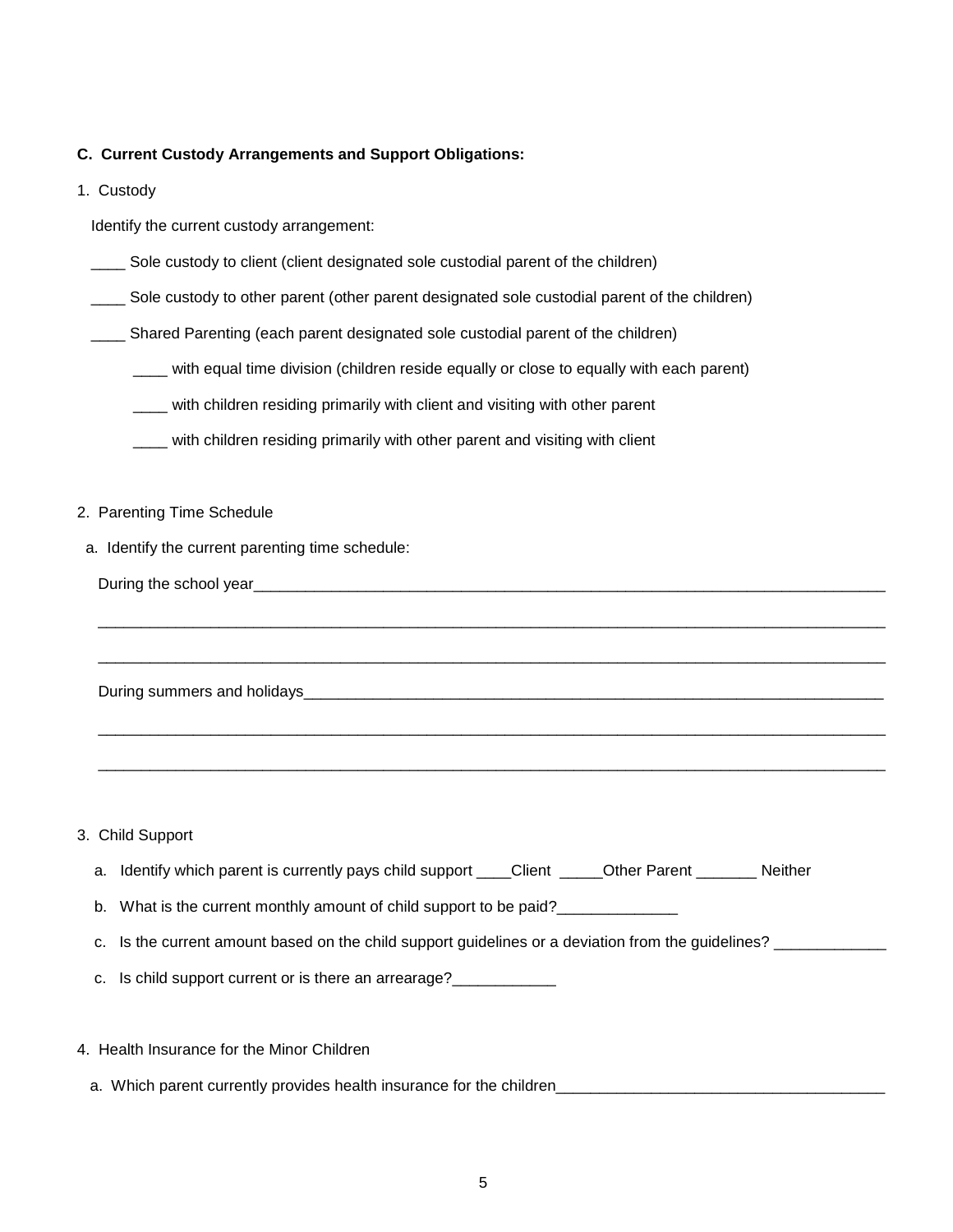#### **C. Current Custody Arrangements and Support Obligations:**

1. Custody

Identify the current custody arrangement:

- \_\_\_\_ Sole custody to client (client designated sole custodial parent of the children)
- \_\_\_\_ Sole custody to other parent (other parent designated sole custodial parent of the children)
- \_\_\_\_ Shared Parenting (each parent designated sole custodial parent of the children)
	- \_\_\_\_ with equal time division (children reside equally or close to equally with each parent)
	- \_\_\_\_ with children residing primarily with client and visiting with other parent
	- \_\_\_\_ with children residing primarily with other parent and visiting with client
- 2. Parenting Time Schedule
- a. Identify the current parenting time schedule:

During summers and holidays\_\_\_\_\_\_\_\_\_\_\_\_\_\_\_\_\_\_\_\_\_\_\_\_\_\_\_\_\_\_\_\_\_\_\_\_\_\_\_\_\_\_\_\_\_\_\_\_\_\_\_\_\_\_\_\_\_\_\_\_\_\_\_\_\_\_\_

3. Child Support

|  |  | a. Identify which parent is currently pays child support ____Client |  | <b>Other Parent</b> | <b>Neither</b> |
|--|--|---------------------------------------------------------------------|--|---------------------|----------------|
|--|--|---------------------------------------------------------------------|--|---------------------|----------------|

\_\_\_\_\_\_\_\_\_\_\_\_\_\_\_\_\_\_\_\_\_\_\_\_\_\_\_\_\_\_\_\_\_\_\_\_\_\_\_\_\_\_\_\_\_\_\_\_\_\_\_\_\_\_\_\_\_\_\_\_\_\_\_\_\_\_\_\_\_\_\_\_\_\_\_\_\_\_\_\_\_\_\_\_\_\_\_\_\_\_\_

\_\_\_\_\_\_\_\_\_\_\_\_\_\_\_\_\_\_\_\_\_\_\_\_\_\_\_\_\_\_\_\_\_\_\_\_\_\_\_\_\_\_\_\_\_\_\_\_\_\_\_\_\_\_\_\_\_\_\_\_\_\_\_\_\_\_\_\_\_\_\_\_\_\_\_\_\_\_\_\_\_\_\_\_\_\_\_\_\_\_\_

\_\_\_\_\_\_\_\_\_\_\_\_\_\_\_\_\_\_\_\_\_\_\_\_\_\_\_\_\_\_\_\_\_\_\_\_\_\_\_\_\_\_\_\_\_\_\_\_\_\_\_\_\_\_\_\_\_\_\_\_\_\_\_\_\_\_\_\_\_\_\_\_\_\_\_\_\_\_\_\_\_\_\_\_\_\_\_\_\_\_\_

\_\_\_\_\_\_\_\_\_\_\_\_\_\_\_\_\_\_\_\_\_\_\_\_\_\_\_\_\_\_\_\_\_\_\_\_\_\_\_\_\_\_\_\_\_\_\_\_\_\_\_\_\_\_\_\_\_\_\_\_\_\_\_\_\_\_\_\_\_\_\_\_\_\_\_\_\_\_\_\_\_\_\_\_\_\_\_\_\_\_\_

b. What is the current monthly amount of child support to be paid?\_\_\_\_\_\_\_\_\_\_\_\_\_

- c. Is the current amount based on the child support guidelines or a deviation from the guidelines? \_\_\_\_\_\_\_\_\_\_\_
- c. Is child support current or is there an arrearage?
- 4. Health Insurance for the Minor Children
	- a. Which parent currently provides health insurance for the children\_\_\_\_\_\_\_\_\_\_\_\_\_\_\_\_\_\_\_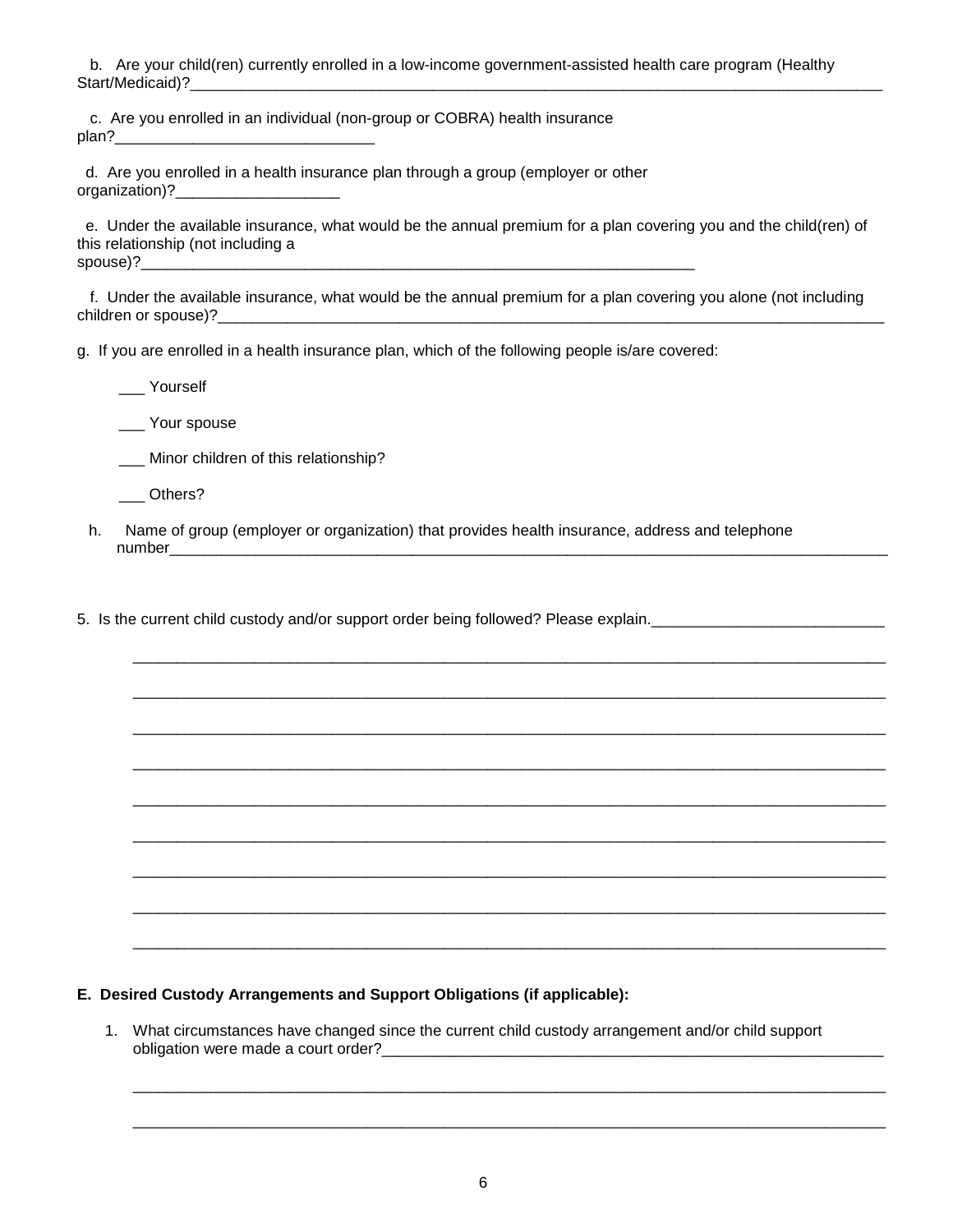b. Are your child(ren) currently enrolled in a low-income government-assisted health care program (Healthy Start/Medicaid)?

 c. Are you enrolled in an individual (non-group or COBRA) health insurance plan?\_\_\_\_\_\_\_\_\_\_\_\_\_\_\_\_\_\_\_\_\_\_\_\_\_\_\_\_\_\_

 d. Are you enrolled in a health insurance plan through a group (employer or other organization)?\_\_\_\_\_\_\_\_\_\_\_\_\_\_\_\_\_\_\_

 e. Under the available insurance, what would be the annual premium for a plan covering you and the child(ren) of this relationship (not including a spouse)?

 f. Under the available insurance, what would be the annual premium for a plan covering you alone (not including children or spouse)?

g. If you are enrolled in a health insurance plan, which of the following people is/are covered:

\_\_\_ Yourself

Your spouse

\_\_\_ Minor children of this relationship?

\_\_\_ Others?

h. Name of group (employer or organization) that provides health insurance, address and telephone number\_\_\_\_\_\_\_\_\_\_\_\_\_\_\_\_\_\_\_\_\_\_\_\_\_\_\_\_\_\_\_\_\_\_\_\_\_\_\_\_\_\_\_\_\_\_\_\_\_\_\_\_\_\_\_\_\_\_\_\_\_\_\_\_\_\_\_\_\_\_\_\_\_\_\_\_\_\_\_\_\_\_\_

\_\_\_\_\_\_\_\_\_\_\_\_\_\_\_\_\_\_\_\_\_\_\_\_\_\_\_\_\_\_\_\_\_\_\_\_\_\_\_\_\_\_\_\_\_\_\_\_\_\_\_\_\_\_\_\_\_\_\_\_\_\_\_\_\_\_\_\_\_\_\_\_\_\_\_\_\_\_\_\_\_\_\_\_\_\_\_

\_\_\_\_\_\_\_\_\_\_\_\_\_\_\_\_\_\_\_\_\_\_\_\_\_\_\_\_\_\_\_\_\_\_\_\_\_\_\_\_\_\_\_\_\_\_\_\_\_\_\_\_\_\_\_\_\_\_\_\_\_\_\_\_\_\_\_\_\_\_\_\_\_\_\_\_\_\_\_\_\_\_\_\_\_\_\_

\_\_\_\_\_\_\_\_\_\_\_\_\_\_\_\_\_\_\_\_\_\_\_\_\_\_\_\_\_\_\_\_\_\_\_\_\_\_\_\_\_\_\_\_\_\_\_\_\_\_\_\_\_\_\_\_\_\_\_\_\_\_\_\_\_\_\_\_\_\_\_\_\_\_\_\_\_\_\_\_\_\_\_\_\_\_\_

\_\_\_\_\_\_\_\_\_\_\_\_\_\_\_\_\_\_\_\_\_\_\_\_\_\_\_\_\_\_\_\_\_\_\_\_\_\_\_\_\_\_\_\_\_\_\_\_\_\_\_\_\_\_\_\_\_\_\_\_\_\_\_\_\_\_\_\_\_\_\_\_\_\_\_\_\_\_\_\_\_\_\_\_\_\_\_

\_\_\_\_\_\_\_\_\_\_\_\_\_\_\_\_\_\_\_\_\_\_\_\_\_\_\_\_\_\_\_\_\_\_\_\_\_\_\_\_\_\_\_\_\_\_\_\_\_\_\_\_\_\_\_\_\_\_\_\_\_\_\_\_\_\_\_\_\_\_\_\_\_\_\_\_\_\_\_\_\_\_\_\_\_\_\_

\_\_\_\_\_\_\_\_\_\_\_\_\_\_\_\_\_\_\_\_\_\_\_\_\_\_\_\_\_\_\_\_\_\_\_\_\_\_\_\_\_\_\_\_\_\_\_\_\_\_\_\_\_\_\_\_\_\_\_\_\_\_\_\_\_\_\_\_\_\_\_\_\_\_\_\_\_\_\_\_\_\_\_\_\_\_\_

\_\_\_\_\_\_\_\_\_\_\_\_\_\_\_\_\_\_\_\_\_\_\_\_\_\_\_\_\_\_\_\_\_\_\_\_\_\_\_\_\_\_\_\_\_\_\_\_\_\_\_\_\_\_\_\_\_\_\_\_\_\_\_\_\_\_\_\_\_\_\_\_\_\_\_\_\_\_\_\_\_\_\_\_\_\_\_

\_\_\_\_\_\_\_\_\_\_\_\_\_\_\_\_\_\_\_\_\_\_\_\_\_\_\_\_\_\_\_\_\_\_\_\_\_\_\_\_\_\_\_\_\_\_\_\_\_\_\_\_\_\_\_\_\_\_\_\_\_\_\_\_\_\_\_\_\_\_\_\_\_\_\_\_\_\_\_\_\_\_\_\_\_\_\_

\_\_\_\_\_\_\_\_\_\_\_\_\_\_\_\_\_\_\_\_\_\_\_\_\_\_\_\_\_\_\_\_\_\_\_\_\_\_\_\_\_\_\_\_\_\_\_\_\_\_\_\_\_\_\_\_\_\_\_\_\_\_\_\_\_\_\_\_\_\_\_\_\_\_\_\_\_\_\_\_\_\_\_\_\_\_\_

\_\_\_\_\_\_\_\_\_\_\_\_\_\_\_\_\_\_\_\_\_\_\_\_\_\_\_\_\_\_\_\_\_\_\_\_\_\_\_\_\_\_\_\_\_\_\_\_\_\_\_\_\_\_\_\_\_\_\_\_\_\_\_\_\_\_\_\_\_\_\_\_\_\_\_\_\_\_\_\_\_\_\_\_\_\_\_

\_\_\_\_\_\_\_\_\_\_\_\_\_\_\_\_\_\_\_\_\_\_\_\_\_\_\_\_\_\_\_\_\_\_\_\_\_\_\_\_\_\_\_\_\_\_\_\_\_\_\_\_\_\_\_\_\_\_\_\_\_\_\_\_\_\_\_\_\_\_\_\_\_\_\_\_\_\_\_\_\_\_\_\_\_\_\_

5. Is the current child custody and/or support order being followed? Please explain.

**E. Desired Custody Arrangements and Support Obligations (if applicable):**

1. What circumstances have changed since the current child custody arrangement and/or child support obligation were made a court order?\_\_\_\_\_\_\_\_\_\_\_\_\_\_\_\_\_\_\_\_\_\_\_\_\_\_\_\_\_\_\_\_\_\_\_\_\_\_\_\_\_\_\_\_\_\_\_\_\_\_\_\_\_\_\_\_\_\_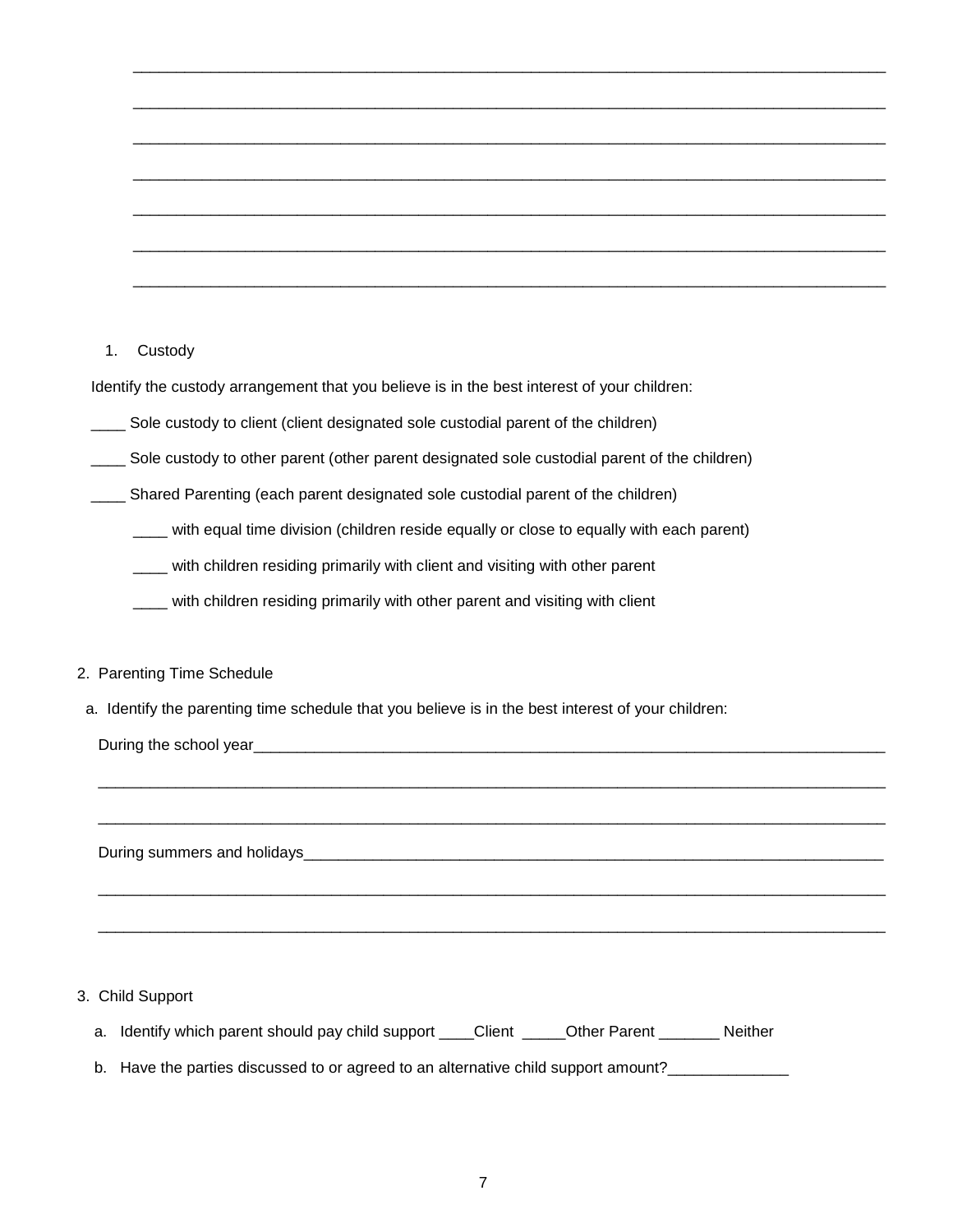### 1. Custody

Identify the custody arrangement that you believe is in the best interest of your children:

Sole custody to client (client designated sole custodial parent of the children)

\_\_\_\_ Sole custody to other parent (other parent designated sole custodial parent of the children)

\_\_\_\_ Shared Parenting (each parent designated sole custodial parent of the children)

\_\_\_\_ with equal time division (children reside equally or close to equally with each parent)

\_\_\_\_ with children residing primarily with client and visiting with other parent

\_\_\_\_ with children residing primarily with other parent and visiting with client

#### 2. Parenting Time Schedule

a. Identify the parenting time schedule that you believe is in the best interest of your children:

During the school year\_\_\_\_\_\_\_\_\_\_\_\_\_\_\_\_\_\_\_\_\_\_\_\_\_\_\_\_\_\_\_\_\_\_\_\_\_\_\_\_\_\_\_\_\_\_\_\_\_\_\_\_\_\_\_\_\_\_\_\_\_\_\_\_\_\_\_\_\_\_\_\_\_

During summers and holidays\_\_\_\_\_\_\_\_\_\_\_\_\_\_\_\_\_\_\_\_\_\_\_\_\_\_\_\_\_\_\_\_\_\_\_\_\_\_\_\_\_\_\_\_\_\_\_\_\_\_\_\_\_\_\_\_\_\_\_\_\_\_\_\_\_\_\_

#### 3. Child Support

- a. Identify which parent should pay child support \_\_\_\_Client \_\_\_\_\_Other Parent \_\_\_\_\_\_\_ Neither
- b. Have the parties discussed to or agreed to an alternative child support amount?\_\_\_\_\_\_\_\_\_\_\_\_\_\_\_\_\_

\_\_\_\_\_\_\_\_\_\_\_\_\_\_\_\_\_\_\_\_\_\_\_\_\_\_\_\_\_\_\_\_\_\_\_\_\_\_\_\_\_\_\_\_\_\_\_\_\_\_\_\_\_\_\_\_\_\_\_\_\_\_\_\_\_\_\_\_\_\_\_\_\_\_\_\_\_\_\_\_\_\_\_\_\_\_\_\_\_\_\_

\_\_\_\_\_\_\_\_\_\_\_\_\_\_\_\_\_\_\_\_\_\_\_\_\_\_\_\_\_\_\_\_\_\_\_\_\_\_\_\_\_\_\_\_\_\_\_\_\_\_\_\_\_\_\_\_\_\_\_\_\_\_\_\_\_\_\_\_\_\_\_\_\_\_\_\_\_\_\_\_\_\_\_\_\_\_\_\_\_\_\_

\_\_\_\_\_\_\_\_\_\_\_\_\_\_\_\_\_\_\_\_\_\_\_\_\_\_\_\_\_\_\_\_\_\_\_\_\_\_\_\_\_\_\_\_\_\_\_\_\_\_\_\_\_\_\_\_\_\_\_\_\_\_\_\_\_\_\_\_\_\_\_\_\_\_\_\_\_\_\_\_\_\_\_\_\_\_\_\_\_\_\_

\_\_\_\_\_\_\_\_\_\_\_\_\_\_\_\_\_\_\_\_\_\_\_\_\_\_\_\_\_\_\_\_\_\_\_\_\_\_\_\_\_\_\_\_\_\_\_\_\_\_\_\_\_\_\_\_\_\_\_\_\_\_\_\_\_\_\_\_\_\_\_\_\_\_\_\_\_\_\_\_\_\_\_\_\_\_\_\_\_\_\_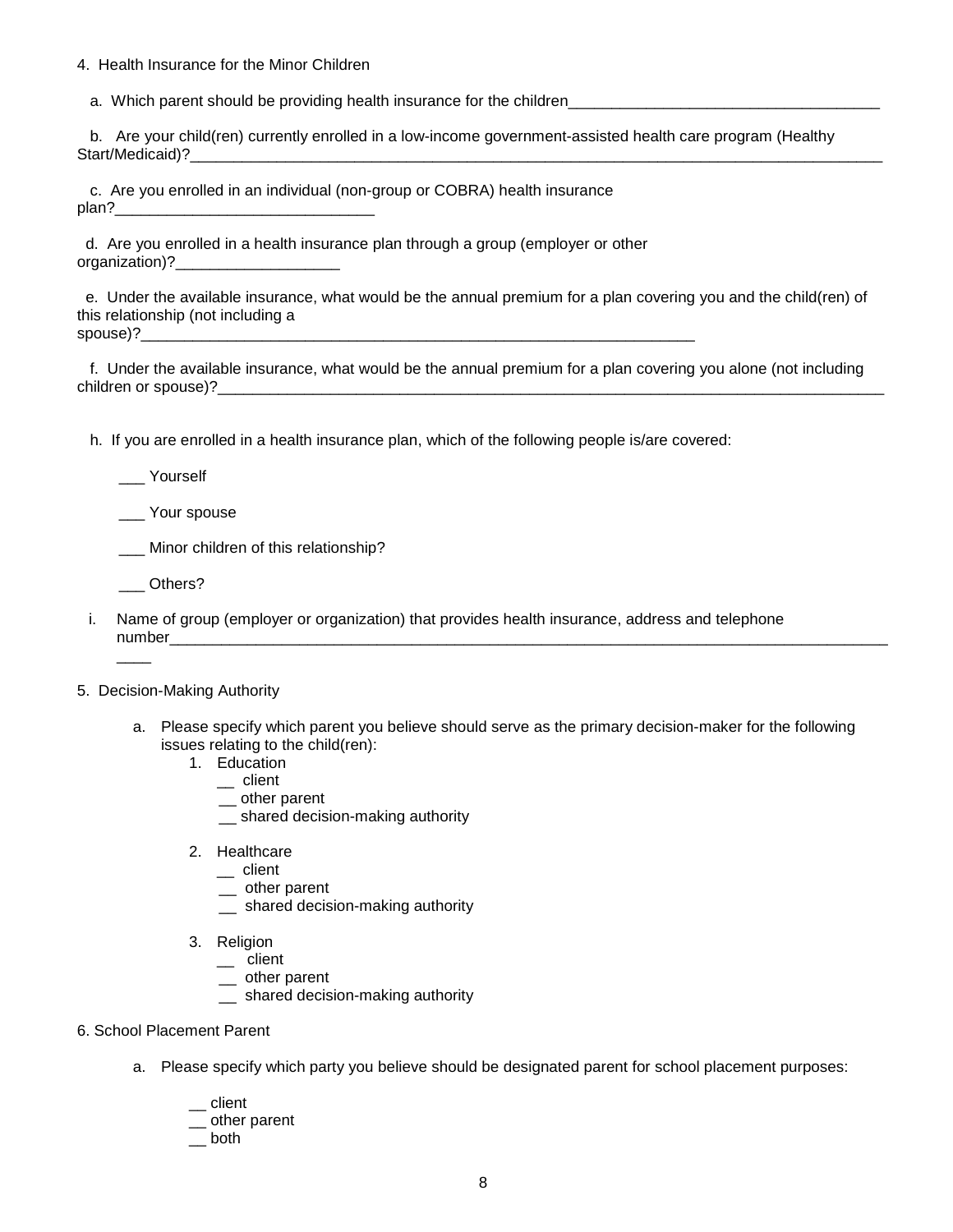4. Health Insurance for the Minor Children

a. Which parent should be providing health insurance for the children\_\_\_\_\_\_\_\_\_\_\_

 b. Are your child(ren) currently enrolled in a low-income government-assisted health care program (Healthy Start/Medicaid)?

 c. Are you enrolled in an individual (non-group or COBRA) health insurance  $plan?$ 

 d. Are you enrolled in a health insurance plan through a group (employer or other organization)?

 e. Under the available insurance, what would be the annual premium for a plan covering you and the child(ren) of this relationship (not including a  $spouse)$ ?

 f. Under the available insurance, what would be the annual premium for a plan covering you alone (not including children or spouse)?\_\_\_\_\_\_\_\_\_\_\_\_\_\_\_\_\_\_\_\_\_\_\_\_\_\_\_\_\_\_\_\_\_\_\_\_\_\_\_\_\_\_\_\_\_\_\_\_\_\_\_\_\_\_\_\_\_\_\_\_\_\_\_\_\_\_\_\_\_\_\_\_\_\_\_\_\_

h. If you are enrolled in a health insurance plan, which of the following people is/are covered:

\_\_\_ Yourself

\_\_\_ Your spouse

\_\_\_ Minor children of this relationship?

\_\_\_ Others?

 $\overline{\phantom{a}}$ 

i. Name of group (employer or organization) that provides health insurance, address and telephone number

#### 5. Decision-Making Authority

- a. Please specify which parent you believe should serve as the primary decision-maker for the following issues relating to the child(ren):
	- 1. Education
		- $\equiv$  client
		- \_\_ other parent
		- shared decision-making authority
	- 2. Healthcare
		- \_\_ client
		- \_\_ other parent
		- \_\_ shared decision-making authority
	- 3. Religion
		- \_\_ client
		- \_\_ other parent
		- \_\_ shared decision-making authority
- 6. School Placement Parent
	- a. Please specify which party you believe should be designated parent for school placement purposes:
		- \_\_ client
		- \_\_ other parent
		- $\equiv$  both